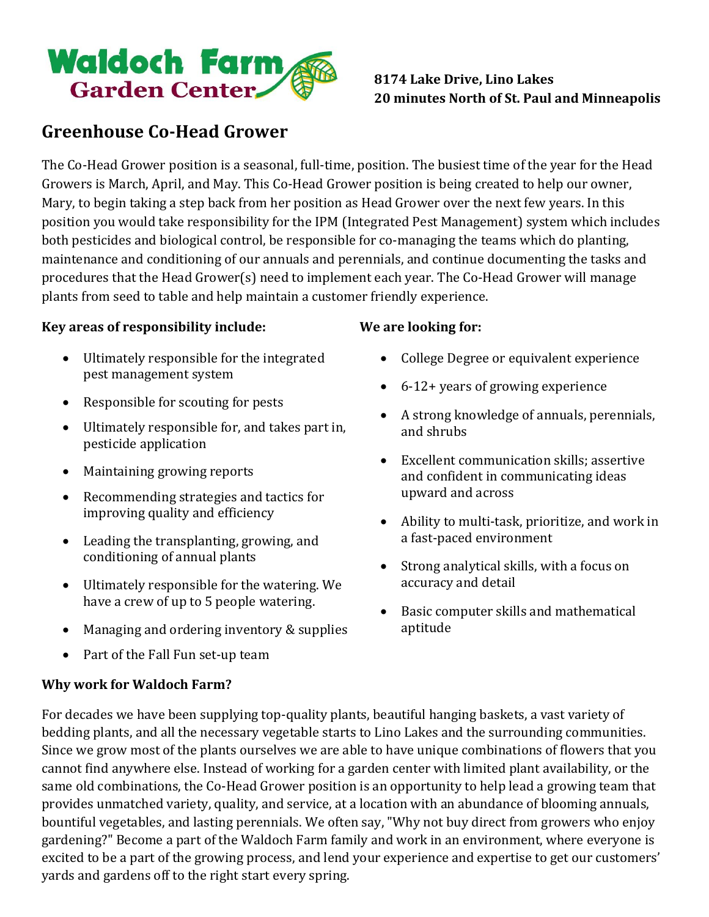

## **8174 Lake Drive, Lino Lakes 20 minutes North of St. Paul and Minneapolis**

# **Greenhouse Co-Head Grower**

The Co-Head Grower position is a seasonal, full-time, position. The busiest time of the year for the Head Growers is March, April, and May. This Co-Head Grower position is being created to help our owner, Mary, to begin taking a step back from her position as Head Grower over the next few years. In this position you would take responsibility for the IPM (Integrated Pest Management) system which includes both pesticides and biological control, be responsible for co-managing the teams which do planting, maintenance and conditioning of our annuals and perennials, and continue documenting the tasks and procedures that the Head Grower(s) need to implement each year. The Co-Head Grower will manage plants from seed to table and help maintain a customer friendly experience.

#### **Key areas of responsibility include:**

- Ultimately responsible for the integrated pest management system
- Responsible for scouting for pests
- Ultimately responsible for, and takes part in, pesticide application
- Maintaining growing reports
- Recommending strategies and tactics for improving quality and efficiency
- Leading the transplanting, growing, and conditioning of annual plants
- Ultimately responsible for the watering. We have a crew of up to 5 people watering.
- Managing and ordering inventory & supplies
- Part of the Fall Fun set-up team

## **Why work for Waldoch Farm?**

## **We are looking for:**

- College Degree or equivalent experience
- 6-12+ years of growing experience
- A strong knowledge of annuals, perennials, and shrubs
- Excellent communication skills; assertive and confident in communicating ideas upward and across
- Ability to multi-task, prioritize, and work in a fast-paced environment
- Strong analytical skills, with a focus on accuracy and detail
- Basic computer skills and mathematical aptitude

For decades we have been supplying top-quality plants, beautiful hanging baskets, a vast variety of bedding plants, and all the necessary vegetable starts to Lino Lakes and the surrounding communities. Since we grow most of the plants ourselves we are able to have unique combinations of flowers that you cannot find anywhere else. Instead of working for a garden center with limited plant availability, or the same old combinations, the Co-Head Grower position is an opportunity to help lead a growing team that provides unmatched variety, quality, and service, at a location with an abundance of blooming annuals, bountiful vegetables, and lasting perennials. We often say, "Why not buy direct from growers who enjoy gardening?" Become a part of the Waldoch Farm family and work in an environment, where everyone is excited to be a part of the growing process, and lend your experience and expertise to get our customers' yards and gardens off to the right start every spring.